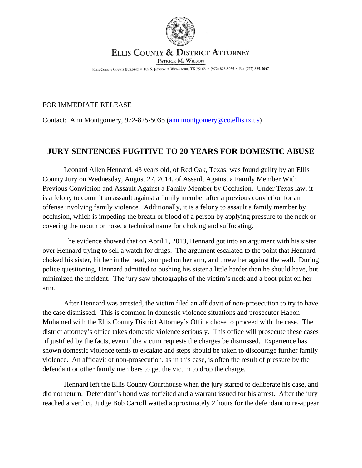

## ELLIS COUNTY & DISTRICT ATTORNEY PATRICK M. WILSON

ELLIS COUNTY COURTS BUILDING . 109 S. JACKSON . WAXAHACHIE, TX 75165 . (972) 825-5035 . FAX (972) 825-5047

## FOR IMMEDIATE RELEASE

Contact: Ann Montgomery, 972-825-5035 ([ann.montgomery@co.ellis.tx.us](mailto:ann.montgomery@co.ellis.tx.us))

## **JURY SENTENCES FUGITIVE TO 20 YEARS FOR DOMESTIC ABUSE**

Leonard Allen Hennard, 43 years old, of Red Oak, Texas, was found guilty by an Ellis County Jury on Wednesday, August 27, 2014, of Assault Against a Family Member With Previous Conviction and Assault Against a Family Member by Occlusion. Under Texas law, it is a felony to commit an assault against a family member after a previous conviction for an offense involving family violence. Additionally, it is a felony to assault a family member by occlusion, which is impeding the breath or blood of a person by applying pressure to the neck or covering the mouth or nose, a technical name for choking and suffocating.

The evidence showed that on April 1, 2013, Hennard got into an argument with his sister over Hennard trying to sell a watch for drugs. The argument escalated to the point that Hennard choked his sister, hit her in the head, stomped on her arm, and threw her against the wall. During police questioning, Hennard admitted to pushing his sister a little harder than he should have, but minimized the incident. The jury saw photographs of the victim's neck and a boot print on her arm.

After Hennard was arrested, the victim filed an affidavit of non-prosecution to try to have the case dismissed. This is common in domestic violence situations and prosecutor Habon Mohamed with the Ellis County District Attorney's Office chose to proceed with the case. The district attorney's office takes domestic violence seriously. This office will prosecute these cases if justified by the facts, even if the victim requests the charges be dismissed. Experience has shown domestic violence tends to escalate and steps should be taken to discourage further family violence. An affidavit of non-prosecution, as in this case, is often the result of pressure by the defendant or other family members to get the victim to drop the charge.

Hennard left the Ellis County Courthouse when the jury started to deliberate his case, and did not return. Defendant's bond was forfeited and a warrant issued for his arrest. After the jury reached a verdict, Judge Bob Carroll waited approximately 2 hours for the defendant to re-appear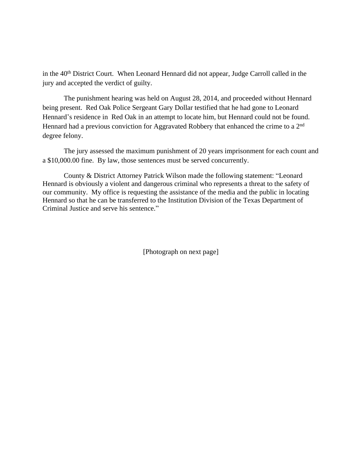in the 40<sup>th</sup> District Court. When Leonard Hennard did not appear, Judge Carroll called in the jury and accepted the verdict of guilty.

The punishment hearing was held on August 28, 2014, and proceeded without Hennard being present. Red Oak Police Sergeant Gary Dollar testified that he had gone to Leonard Hennard's residence in Red Oak in an attempt to locate him, but Hennard could not be found. Hennard had a previous conviction for Aggravated Robbery that enhanced the crime to a 2<sup>nd</sup> degree felony.

The jury assessed the maximum punishment of 20 years imprisonment for each count and a \$10,000.00 fine. By law, those sentences must be served concurrently.

County & District Attorney Patrick Wilson made the following statement: "Leonard Hennard is obviously a violent and dangerous criminal who represents a threat to the safety of our community. My office is requesting the assistance of the media and the public in locating Hennard so that he can be transferred to the Institution Division of the Texas Department of Criminal Justice and serve his sentence."

[Photograph on next page]